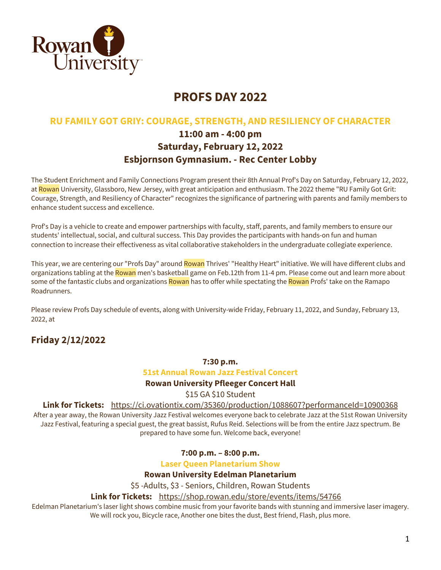

# **PROFS DAY 2022**

## **RU FAMILY GOT GRIY: COURAGE, STRENGTH, AND RESILIENCY OF CHARACTER**

# **11:00 am - 4:00 pm Saturday, February 12, 2022 Esbjornson Gymnasium. - Rec Center Lobby**

The Student Enrichment and Family Connections Program present their 8th Annual Prof's Day on Saturday, February 12, 2022, at Rowan University, Glassboro, New Jersey, with great anticipation and enthusiasm. The 2022 theme "RU Family Got Grit: Courage, Strength, and Resiliency of Character" recognizes the significance of partnering with parents and family members to enhance student success and excellence.

Prof's Day is a vehicle to create and empower partnerships with faculty, staff, parents, and family members to ensure our students' intellectual, social, and cultural success. This Day provides the participants with hands-on fun and human connection to increase their effectiveness as vital collaborative stakeholders in the undergraduate collegiate experience.

This year, we are centering our "Profs Day" around Rowan Thrives' "Healthy Heart" initiative. We will have different clubs and organizations tabling at the Rowan men's basketball game on Feb.12th from 11-4 pm. Please come out and learn more about some of the fantastic clubs and organizations Rowan has to offer while spectating the Rowan Profs' take on the Ramapo Roadrunners.

Please review Profs Day schedule of events, along with University-wide Friday, February 11, 2022, and Sunday, February 13, 2022, at

# **Friday 2/12/2022**

## **7:30 p.m.**

## **51st Annual Rowan Jazz Festival Concert**

## **Rowan University Pfleeger Concert Hall**

\$15 GA \$10 Student

**Link for Tickets:** https://ci.ovationtix.com/35360/production/1088607?performanceId=10900368 After a year away, the Rowan University Jazz Festival welcomes everyone back to celebrate Jazz at the 51st Rowan University Jazz Festival, featuring a special guest, the great bassist, Rufus Reid. Selections will be from the entire Jazz spectrum. Be prepared to have some fun. Welcome back, everyone!

## **7:00 p.m. – 8:00 p.m.**

**Laser Queen Planetarium Show**

## **Rowan University Edelman Planetarium**

\$5 -Adults, \$3 - Seniors, Children, Rowan Students

## **Link for Tickets:** https://shop.rowan.edu/store/events/items/54766

Edelman Planetarium's laser light shows combine music from your favorite bands with stunning and immersive laser imagery. We will rock you, Bicycle race, Another one bites the dust, Best friend, Flash, plus more.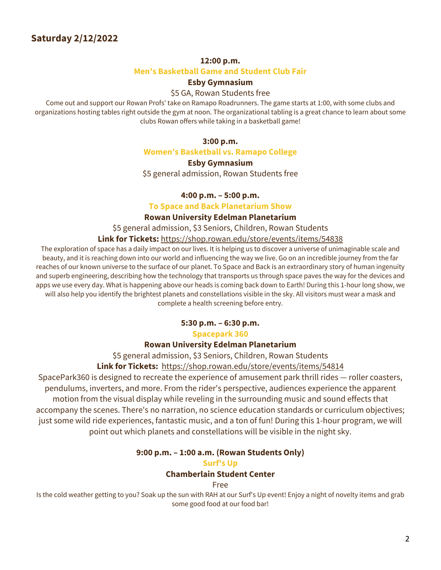# **Saturday 2/12/2022**

#### **12:00 p.m.**

## **Men's Basketball Game and Student Club Fair**

## **Esby Gymnasium**

## \$5 GA, Rowan Students free

Come out and support our Rowan Profs' take on Ramapo Roadrunners. The game starts at 1:00, with some clubs and organizations hosting tables right outside the gym at noon. The organizational tabling is a great chance to learn about some clubs Rowan offers while taking in a basketball game!

#### **3:00 p.m.**

**Women's Basketball vs. Ramapo College**

## **Esby Gymnasium**

\$5 general admission, Rowan Students free

## **4:00 p.m. – 5:00 p.m.**

## **To Space and Back Planetarium Show**

#### **Rowan University Edelman Planetarium**

\$5 general admission, \$3 Seniors, Children, Rowan Students

## **Link for Tickets:** https://shop.rowan.edu/store/events/items/54838

The exploration of space has a daily impact on our lives. It is helping us to discover a universe of unimaginable scale and beauty, and it is reaching down into our world and influencing the way we live. Go on an incredible journey from the far reaches of our known universe to the surface of our planet. To Space and Back is an extraordinary story of human ingenuity and superb engineering, describing how the technology that transports us through space paves the way for the devices and apps we use every day. What is happening above our heads is coming back down to Earth! During this 1-hour long show, we will also help you identify the brightest planets and constellations visible in the sky. All visitors must wear a mask and complete a health screening before entry.

## **5:30 p.m. – 6:30 p.m.**

#### **Spacepark 360**

## **Rowan University Edelman Planetarium**

\$5 general admission, \$3 Seniors, Children, Rowan Students

## **Link for Tickets:** https://shop.rowan.edu/store/events/items/54814

SpacePark360 is designed to recreate the experience of amusement park thrill rides — roller coasters, pendulums, inverters, and more. From the rider's perspective, audiences experience the apparent motion from the visual display while reveling in the surrounding music and sound effects that accompany the scenes. There's no narration, no science education standards or curriculum objectives; just some wild ride experiences, fantastic music, and a ton of fun! During this 1-hour program, we will point out which planets and constellations will be visible in the night sky.

## **9:00 p.m. – 1:00 a.m. (Rowan Students Only)**

#### **Surf's Up**

## **Chamberlain Student Center**

#### Free

Is the cold weather getting to you? Soak up the sun with RAH at our Surf's Up event! Enjoy a night of novelty items and grab some good food at our food bar!